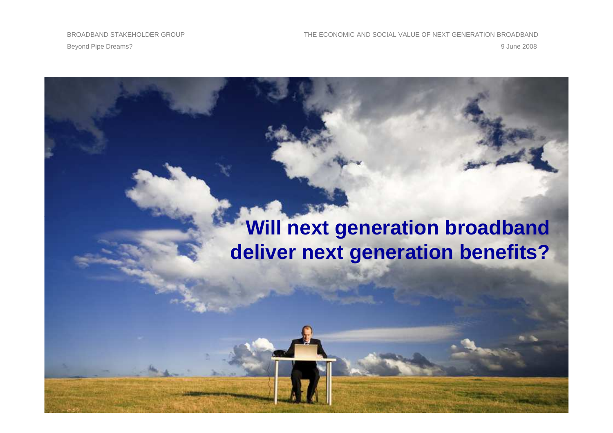# **Will next generation broadbanddeliver next generation benefits?**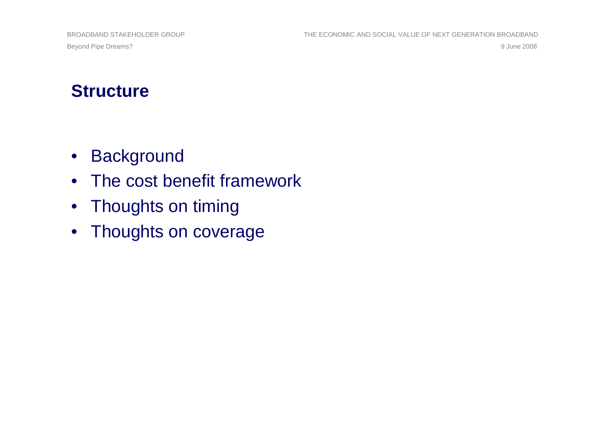Beyond Pipe Dreams?9 June 2008

#### **Structure**

- Background
- The cost benefit framework
- Thoughts on timing
- Thoughts on coverage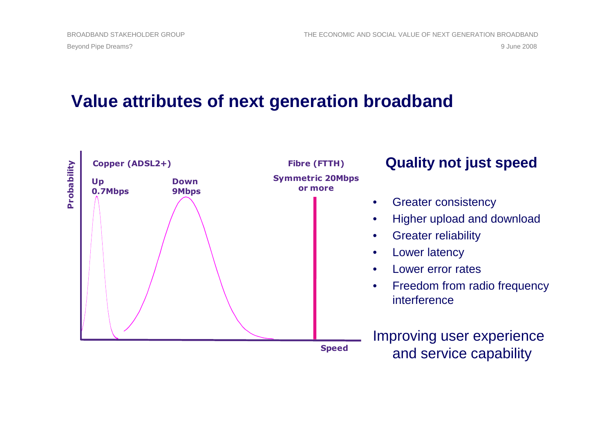#### **Value attributes of next generation broadband**

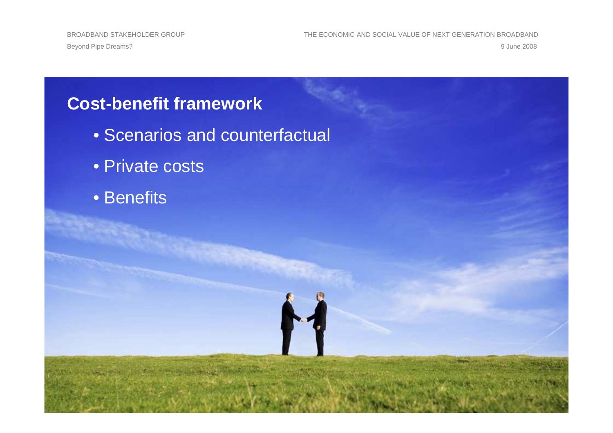BROADBAND STAKEHOLDER GROUP THE ECONOMIC AND SOCIAL VALUE OF NEXT GENERATION BROADBAND9 June 2008 9 June 2008

#### **Cost-benefit framework**

- Scenarios and counterfactual
- Private costs
- Benefits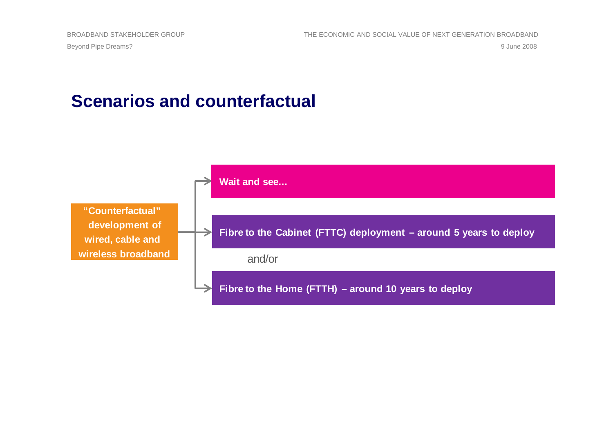Beyond Pipe Dreams?9 June 2008

#### **Scenarios and counterfactual**

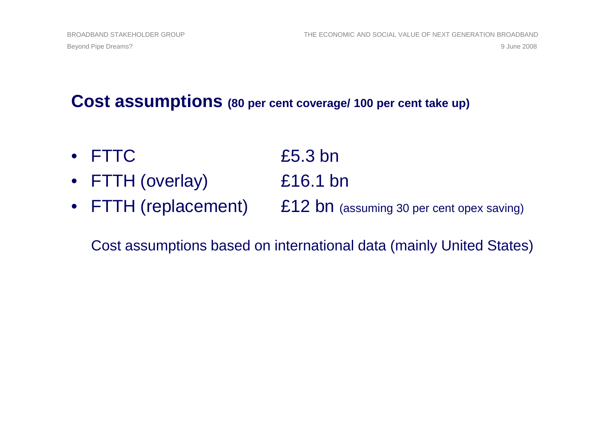#### **Cost assumptions (80 per cent coverage/ 100 per cent take up)**

• FTTC  $£5.3$  bn • FTTH (overlay) £16.1 bn• FTTH (replacement) £12 bn (assuming 30 per cent opex saving)

#### Cost assumptions based on international data (mainly United States)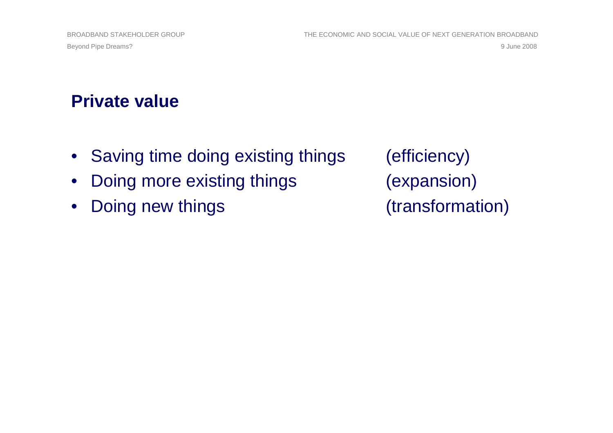### **Private value**

- Saving time doing existing things (efficiency)
- Doing more existing things (expansion)
- Doing new things (transformation)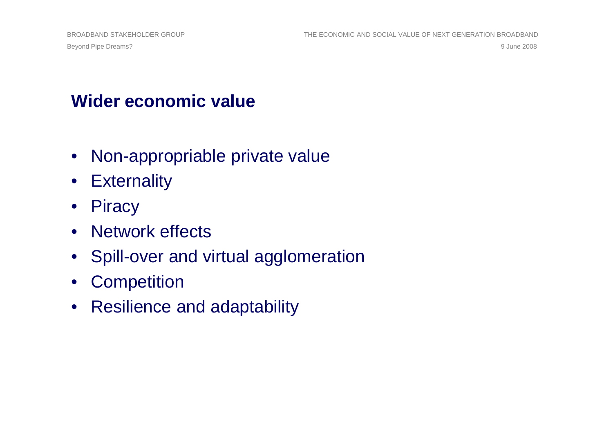### **Wider economic value**

- Non-appropriable private value
- Externality
- Piracy
- Network effects
- Spill-over and virtual agglomeration
- Competition
- Resilience and adaptability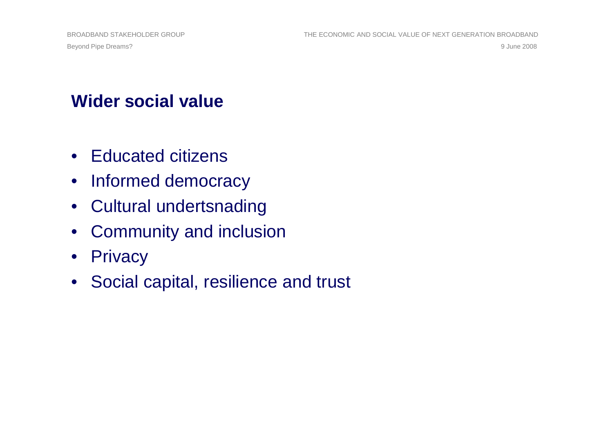### **Wider social value**

- Educated citizens
- Informed democracy
- Cultural undertsnading
- Community and inclusion
- Privacy
- Social capital, resilience and trust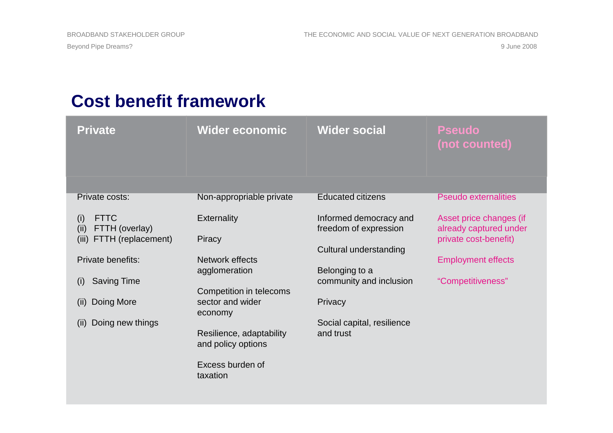## **Cost benefit framework**

| <b>Private</b>                               | <b>Wider economic</b>                          | <b>Wider social</b>                             | <b>Pseudo</b><br>(not counted)                    |
|----------------------------------------------|------------------------------------------------|-------------------------------------------------|---------------------------------------------------|
|                                              |                                                |                                                 |                                                   |
| Private costs:                               | Non-appropriable private                       | <b>Educated citizens</b>                        | <b>Pseudo externalities</b>                       |
| <b>FTTC</b><br>(i)<br>(ii)<br>FTTH (overlay) | <b>Externality</b>                             | Informed democracy and<br>freedom of expression | Asset price changes (if<br>already captured under |
| FTTH (replacement)<br>(iii)                  | Piracy                                         | Cultural understanding                          | private cost-benefit)                             |
| Private benefits:                            | Network effects<br>agglomeration               | Belonging to a                                  | <b>Employment effects</b>                         |
| <b>Saving Time</b><br>(i)                    | Competition in telecoms                        | community and inclusion                         | "Competitiveness"                                 |
| Doing More<br>(ii)                           | sector and wider<br>economy                    | Privacy                                         |                                                   |
| Doing new things<br>(ii)                     |                                                | Social capital, resilience                      |                                                   |
|                                              | Resilience, adaptability<br>and policy options | and trust                                       |                                                   |
|                                              | Excess burden of<br>taxation                   |                                                 |                                                   |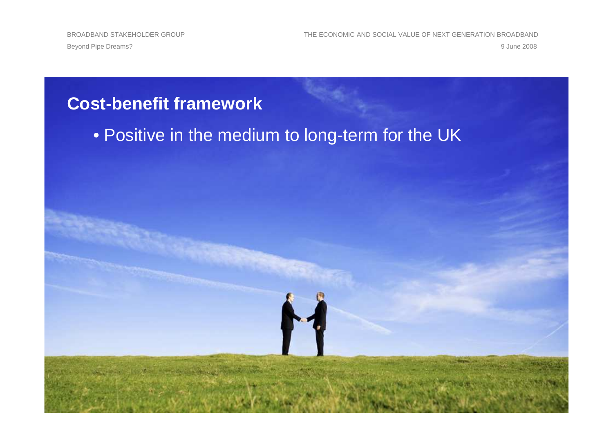BROADBAND STAKEHOLDER GROUP THE ECONOMIC AND SOCIAL VALUE OF NEXT GENERATION BROADBAND9 June 2008 9 June 2008

#### **Cost-benefit framework**

• Positive in the medium to long-term for the UK

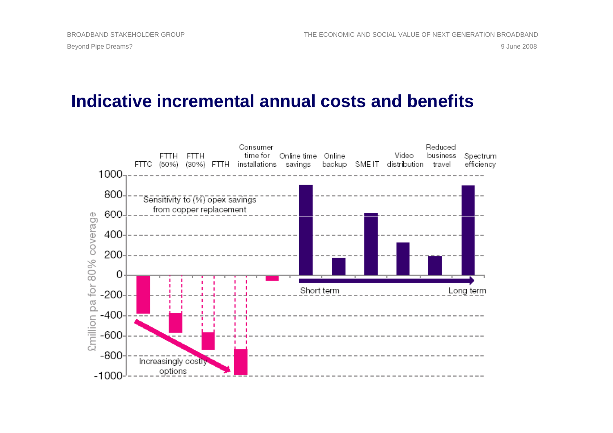#### **Indicative incremental annual costs and benefits**

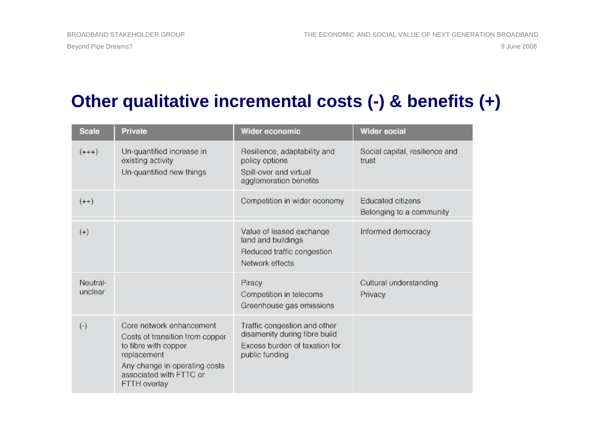### **Other qualitative incremental costs (-) & benefits (+)**

| <b>Scale</b>        | <b>Private</b>                                                                                                                                                                 | Wider economic                                                                                                   | <b>Wider social</b>                           |
|---------------------|--------------------------------------------------------------------------------------------------------------------------------------------------------------------------------|------------------------------------------------------------------------------------------------------------------|-----------------------------------------------|
| $(+++)$             | Un-quantified increase in<br>existing activity<br>Un-quantified new things                                                                                                     | Resilience, adaptability and<br>policy options<br>Spill-over and virtual<br>agglomeration benefits               | Social capital, resilience and<br>trust       |
| $(++)$              |                                                                                                                                                                                | Competition in wider economy                                                                                     | Educated citizens<br>Belonging to a community |
| $(+)$               |                                                                                                                                                                                | Value of leased exchange<br>land and buildings<br>Reduced traffic congestion<br>Network effects                  | Informed democracy                            |
| Neutral-<br>unclear |                                                                                                                                                                                | Piracy<br>Competition in telecoms<br>Greenhouse gas emissions                                                    | Cultural understanding<br>Privacy             |
| $(-)$               | Core network enhancement<br>Costs of transition from copper<br>to fibre with copper<br>replacement<br>Any change in operating costs<br>associated with FTTC or<br>FTTH overlay | Traffic congestion and other<br>disamenity during fibre build<br>Excess burden of taxation for<br>public funding |                                               |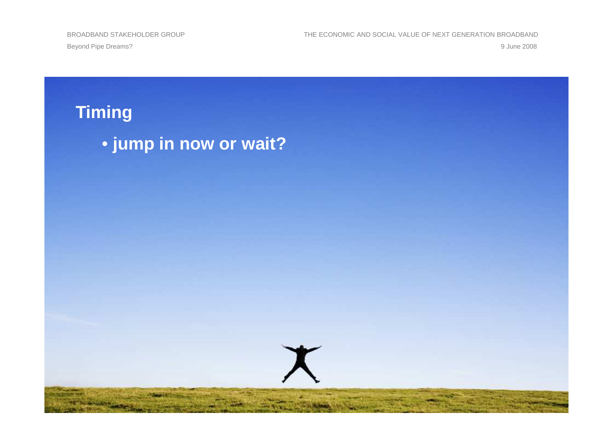Beyond Pipe Dreams?9 June 2008

BROADBAND STAKEHOLDER GROUP THE ECONOMIC AND SOCIAL VALUE OF NEXT GENERATION BROADBAND 9 June 2008

**Timing**• **jump in now or wait?**

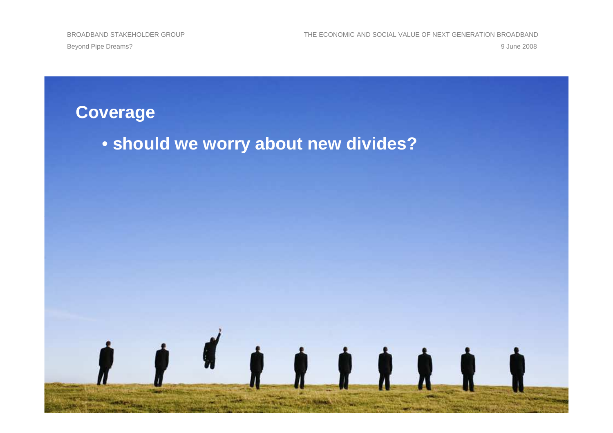BROADBAND STAKEHOLDER GROUP THE ECONOMIC AND SOCIAL VALUE OF NEXT GENERATION BROADBAND9 June 2008 9 June 2008

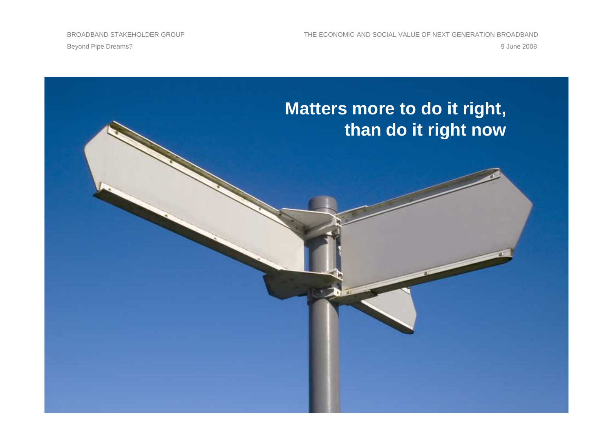BROADBAND STAKEHOLDER GROUP THE ECONOMIC AND SOCIAL VALUE OF NEXT GENERATION BROADBAND9 June 2008 9 June 2008

Beyond Pipe Dreams?